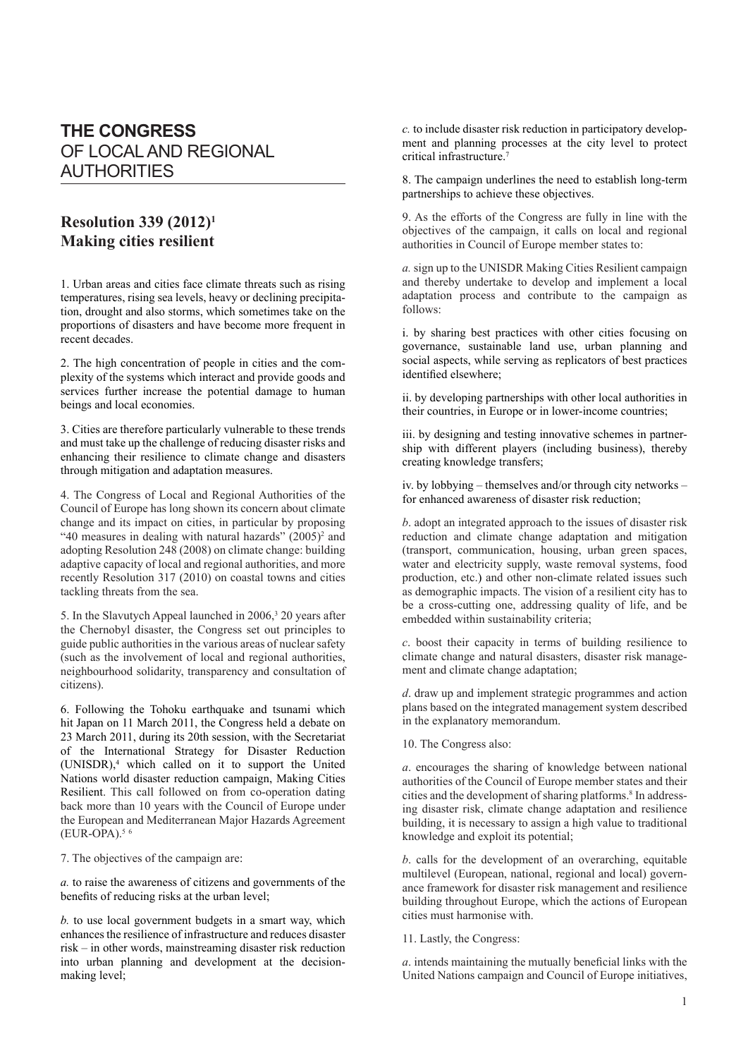## **THE CONGRESS** OF LOCAL AND REGIONAL AUTHORITIES

## **Resolution 339 (2012)1 Making cities resilient**

1. Urban areas and cities face climate threats such as rising temperatures, rising sea levels, heavy or declining precipitation, drought and also storms, which sometimes take on the proportions of disasters and have become more frequent in recent decades.

2. The high concentration of people in cities and the complexity of the systems which interact and provide goods and services further increase the potential damage to human beings and local economies.

3. Cities are therefore particularly vulnerable to these trends and must take up the challenge of reducing disaster risks and enhancing their resilience to climate change and disasters through mitigation and adaptation measures.

4. The Congress of Local and Regional Authorities of the Council of Europe has long shown its concern about climate change and its impact on cities, in particular by proposing "40 measures in dealing with natural hazards" (2005)<sup>2</sup> and adopting Resolution 248 (2008) on climate change: building adaptive capacity of local and regional authorities, and more recently Resolution 317 (2010) on coastal towns and cities tackling threats from the sea.

5. In the Slavutych Appeal launched in 2006,<sup>3</sup> 20 years after the Chernobyl disaster, the Congress set out principles to guide public authorities in the various areas of nuclear safety (such as the involvement of local and regional authorities, neighbourhood solidarity, transparency and consultation of citizens).

6. Following the Tohoku earthquake and tsunami which hit Japan on 11 March 2011, the Congress held a debate on 23 March 2011, during its 20th session, with the Secretariat of the International Strategy for Disaster Reduction (UNISDR),4 which called on it to support the United Nations world disaster reduction campaign, Making Cities Resilient. This call followed on from co-operation dating back more than 10 years with the Council of Europe under the European and Mediterranean Major Hazards Agreement  $(EUR-OPA).$ <sup>5 6</sup>

7. The objectives of the campaign are:

*a.* to raise the awareness of citizens and governments of the benefits of reducing risks at the urban level;

*b.* to use local government budgets in a smart way, which enhances the resilience of infrastructure and reduces disaster risk – in other words, mainstreaming disaster risk reduction into urban planning and development at the decisionmaking level;

*c.* to include disaster risk reduction in participatory development and planning processes at the city level to protect critical infrastructure.7

8. The campaign underlines the need to establish long-term partnerships to achieve these objectives.

9. As the efforts of the Congress are fully in line with the objectives of the campaign, it calls on local and regional authorities in Council of Europe member states to:

*a.* sign up to the UNISDR Making Cities Resilient campaign and thereby undertake to develop and implement a local adaptation process and contribute to the campaign as follows:

i. by sharing best practices with other cities focusing on governance, sustainable land use, urban planning and social aspects, while serving as replicators of best practices identified elsewhere;

ii. by developing partnerships with other local authorities in their countries, in Europe or in lower-income countries;

iii. by designing and testing innovative schemes in partnership with different players (including business), thereby creating knowledge transfers;

iv. by lobbying – themselves and/or through city networks – for enhanced awareness of disaster risk reduction;

*b*. adopt an integrated approach to the issues of disaster risk reduction and climate change adaptation and mitigation (transport, communication, housing, urban green spaces, water and electricity supply, waste removal systems, food production, etc.) and other non-climate related issues such as demographic impacts. The vision of a resilient city has to be a cross-cutting one, addressing quality of life, and be embedded within sustainability criteria;

*c*. boost their capacity in terms of building resilience to climate change and natural disasters, disaster risk management and climate change adaptation;

*d*. draw up and implement strategic programmes and action plans based on the integrated management system described in the explanatory memorandum.

10. The Congress also:

*a*. encourages the sharing of knowledge between national authorities of the Council of Europe member states and their cities and the development of sharing platforms.<sup>8</sup> In addressing disaster risk, climate change adaptation and resilience building, it is necessary to assign a high value to traditional knowledge and exploit its potential;

*b*. calls for the development of an overarching, equitable multilevel (European, national, regional and local) governance framework for disaster risk management and resilience building throughout Europe, which the actions of European cities must harmonise with.

11. Lastly, the Congress:

*a*. intends maintaining the mutually beneficial links with the United Nations campaign and Council of Europe initiatives,